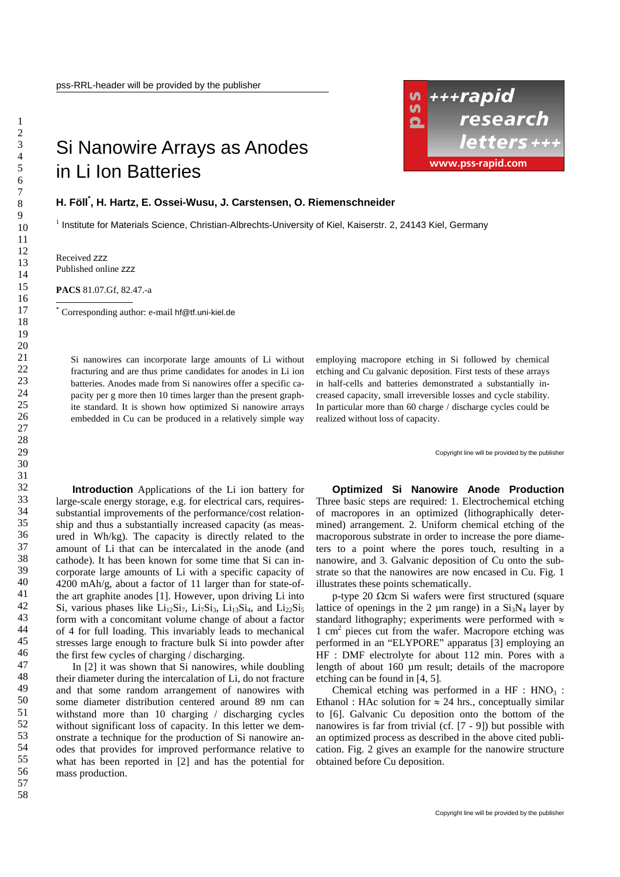## Si Nanowire Arrays as Anodes in Li Ion Batteries



## **H. Föll\* , H. Hartz, E. Ossei-Wusu, J. Carstensen, O. Riemenschneider**

<sup>1</sup> Institute for Materials Science, Christian-Albrechts-University of Kiel, Kaiserstr. 2, 24143 Kiel, Germany

Received zzz Published online zzz

1

**PACS** 81.07.Gf, 82.47.-a

\* Corresponding author: e-mail hf@tf.uni-kiel.de

Si nanowires can incorporate large amounts of Li without fracturing and are thus prime candidates for anodes in Li ion batteries. Anodes made from Si nanowires offer a specific capacity per g more then 10 times larger than the present graphite standard. It is shown how optimized Si nanowire arrays embedded in Cu can be produced in a relatively simple way employing macropore etching in Si followed by chemical etching and Cu galvanic deposition. First tests of these arrays in half-cells and batteries demonstrated a substantially increased capacity, small irreversible losses and cycle stability. In particular more than 60 charge / discharge cycles could be realized without loss of capacity.

Copyright line will be provided by the publisher

**Introduction** Applications of the Li ion battery for large-scale energy storage, e.g. for electrical cars, requiressubstantial improvements of the performance/cost relationship and thus a substantially increased capacity (as measured in Wh/kg). The capacity is directly related to the amount of Li that can be intercalated in the anode (and cathode). It has been known for some time that Si can incorporate large amounts of Li with a specific capacity of 4200 mAh/g, about a factor of 11 larger than for state-ofthe art graphite anodes [1]. However, upon driving Li into Si, various phases like  $Li_{12}Si_7$ ,  $Li_7Si_3$ ,  $Li_{13}Si_4$ , and  $Li_{22}Si_5$ form with a concomitant volume change of about a factor of 4 for full loading. This invariably leads to mechanical stresses large enough to fracture bulk Si into powder after the first few cycles of charging / discharging.

In [2] it was shown that Si nanowires, while doubling their diameter during the intercalation of Li, do not fracture and that some random arrangement of nanowires with some diameter distribution centered around 89 nm can withstand more than 10 charging / discharging cycles without significant loss of capacity. In this letter we demonstrate a technique for the production of Si nanowire anodes that provides for improved performance relative to what has been reported in [2] and has the potential for mass production.

**Optimized Si Nanowire Anode Production**  Three basic steps are required: 1. Electrochemical etching of macropores in an optimized (lithographically determined) arrangement. 2. Uniform chemical etching of the macroporous substrate in order to increase the pore diameters to a point where the pores touch, resulting in a nanowire, and 3. Galvanic deposition of Cu onto the substrate so that the nanowires are now encased in Cu. Fig. 1 illustrates these points schematically.

p-type 20 Ωcm Si wafers were first structured (square lattice of openings in the 2  $\mu$ m range) in a Si<sub>3</sub>N<sub>4</sub> layer by standard lithography; experiments were performed with  $\approx$ 1 cm2 pieces cut from the wafer. Macropore etching was performed in an "ELYPORE" apparatus [3] employing an HF : DMF electrolyte for about 112 min. Pores with a length of about 160 µm result; details of the macropore etching can be found in [4, 5]*.*

Chemical etching was performed in a  $HF : HNO<sub>3</sub>$ : Ethanol : HAc solution for  $\approx 24$  hrs., conceptually similar to [6]. Galvanic Cu deposition onto the bottom of the nanowires is far from trivial (cf. [7 - 9]) but possible with an optimized process as described in the above cited publication. Fig. 2 gives an example for the nanowire structure obtained before Cu deposition.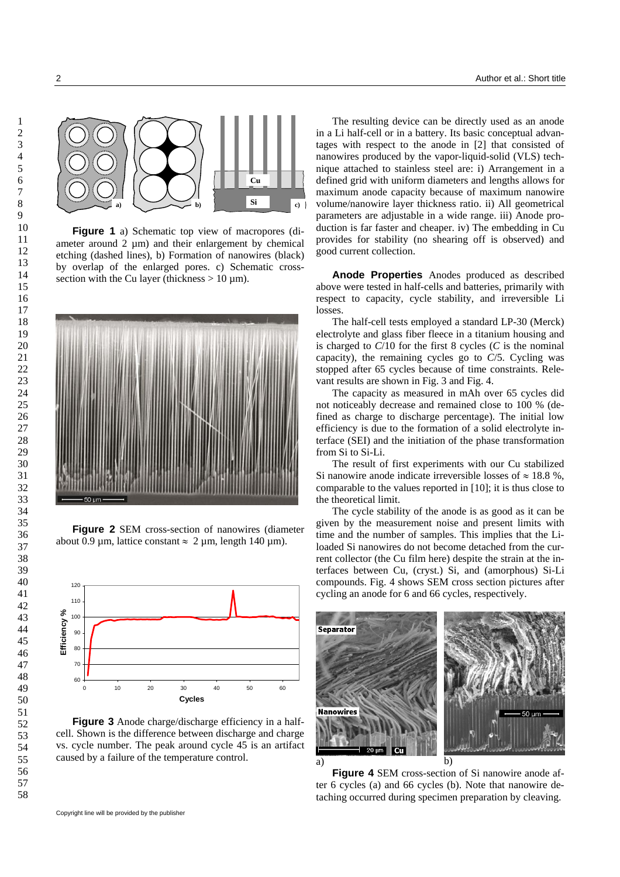

**Figure 1** a) Schematic top view of macropores (diameter around  $2 \mu m$ ) and their enlargement by chemical etching (dashed lines), b) Formation of nanowires (black) by overlap of the enlarged pores. c) Schematic crosssection with the Cu layer (thickness  $> 10 \mu m$ ).



**Figure 2** SEM cross-section of nanowires (diameter about 0.9 µm, lattice constant  $\approx 2$  µm, length 140 µm).



**Figure 3** Anode charge/discharge efficiency in a halfcell. Shown is the difference between discharge and charge vs. cycle number. The peak around cycle 45 is an artifact caused by a failure of the temperature control.

The resulting device can be directly used as an anode in a Li half-cell or in a battery. Its basic conceptual advantages with respect to the anode in [2] that consisted of nanowires produced by the vapor-liquid-solid (VLS) technique attached to stainless steel are: i) Arrangement in a defined grid with uniform diameters and lengths allows for maximum anode capacity because of maximum nanowire volume/nanowire layer thickness ratio. ii) All geometrical parameters are adjustable in a wide range. iii) Anode production is far faster and cheaper. iv) The embedding in Cu provides for stability (no shearing off is observed) and good current collection.

**Anode Properties** Anodes produced as described above were tested in half-cells and batteries, primarily with respect to capacity, cycle stability, and irreversible Li losses.

The half-cell tests employed a standard LP-30 (Merck) electrolyte and glass fiber fleece in a titanium housing and is charged to  $C/10$  for the first 8 cycles  $(C$  is the nominal capacity), the remaining cycles go to *C*/5. Cycling was stopped after 65 cycles because of time constraints. Relevant results are shown in Fig. 3 and Fig. 4.

The capacity as measured in mAh over 65 cycles did not noticeably decrease and remained close to 100 % (defined as charge to discharge percentage). The initial low efficiency is due to the formation of a solid electrolyte interface (SEI) and the initiation of the phase transformation from Si to Si-Li.

The result of first experiments with our Cu stabilized Si nanowire anode indicate irreversible losses of  $\approx 18.8$ %, comparable to the values reported in [10]; it is thus close to the theoretical limit.

The cycle stability of the anode is as good as it can be given by the measurement noise and present limits with time and the number of samples. This implies that the Liloaded Si nanowires do not become detached from the current collector (the Cu film here) despite the strain at the interfaces between Cu, (cryst.) Si, and (amorphous) Si-Li compounds. Fig. 4 shows SEM cross section pictures after cycling an anode for 6 and 66 cycles, respectively.



**Figure 4** SEM cross-section of Si nanowire anode after 6 cycles (a) and 66 cycles (b). Note that nanowire detaching occurred during specimen preparation by cleaving.

Copyright line will be provided by the publisher